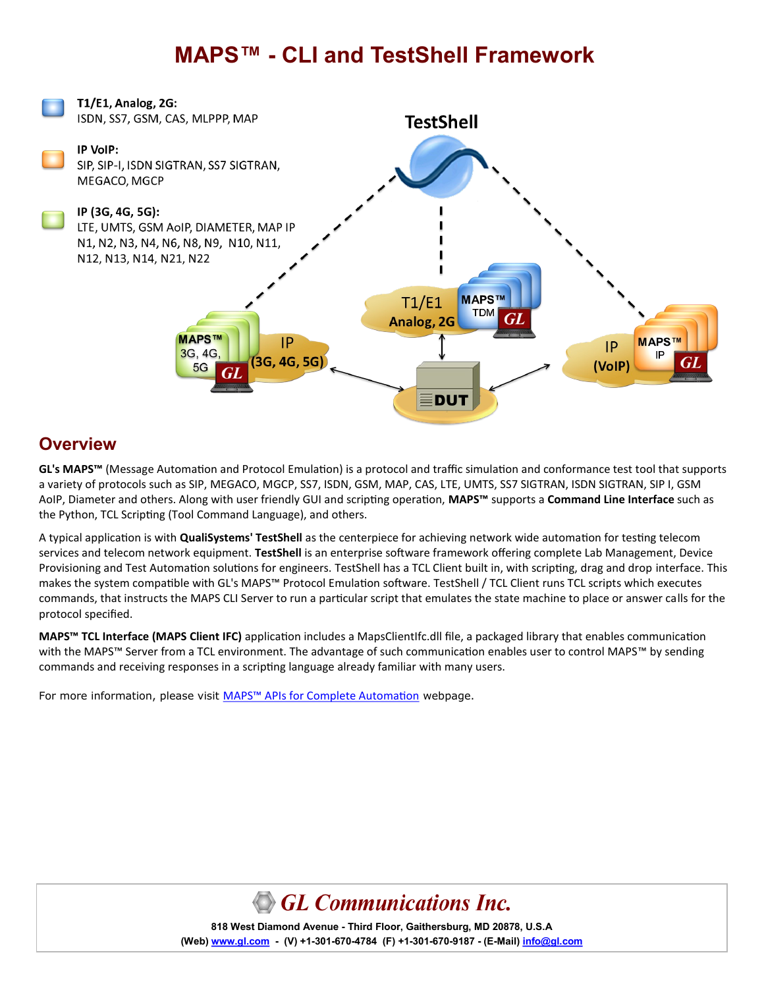## **MAPS™ - CLI and TestShell Framework**



#### **Overview**

**GL's MAPS™** (Message Automation and Protocol Emulation) is a protocol and traffic simulation and conformance test tool that supports a variety of protocols such as SIP, MEGACO, MGCP, SS7, ISDN, GSM, MAP, CAS, LTE, UMTS, SS7 SIGTRAN, ISDN SIGTRAN, SIP I, GSM AoIP, Diameter and others. Along with user friendly GUI and scripting operation, **MAPS™** supports a **Command Line Interface** such as the Python, TCL Scripting (Tool Command Language), and others.

A typical application is with **QualiSystems' TestShell** as the centerpiece for achieving network wide automation for testing telecom services and telecom network equipment. **TestShell** is an enterprise software framework offering complete Lab Management, Device Provisioning and Test Automation solutions for engineers. TestShell has a TCL Client built in, with scripting, drag and drop interface. This makes the system compatible with GL's MAPS™ Protocol Emulation software. TestShell / TCL Client runs TCL scripts which executes commands, that instructs the MAPS CLI Server to run a particular script that emulates the state machine to place or answer calls for the protocol specified.

**MAPS™ TCL Interface (MAPS Client IFC)** application includes a MapsClientIfc.dll file, a packaged library that enables communication with the MAPS™ Server from a TCL environment. The advantage of such communication enables user to control MAPS™ by sending commands and receiving responses in a scripting language already familiar with many users.

For more information, please visit MAPS™ [APIs for Complete Automation](https://www.gl.com/maps-cli.html) webpage.



**818 West Diamond Avenue - Third Floor, Gaithersburg, MD 20878, U.S.A** (Web) [www.gl.com](https://www.gl.com) - (V) +1-301-670-4784 (F) +1-301-670-9187 - (E-Mail) [info@gl.com](https://www.gl.com/inforequestform.php)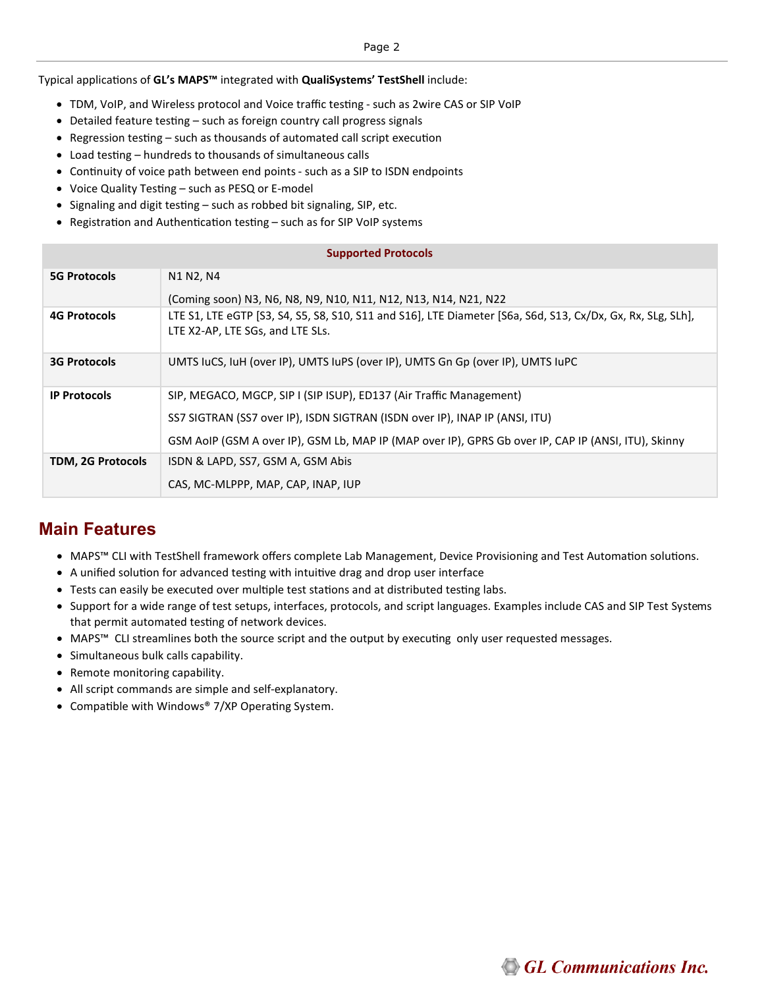Typical applications of **GL's MAPS™** integrated with **QualiSystems' TestShell** include:

- TDM, VoIP, and Wireless protocol and Voice traffic testing such as 2wire CAS or SIP VoIP
- Detailed feature testing such as foreign country call progress signals
- Regression testing such as thousands of automated call script execution
- Load testing hundreds to thousands of simultaneous calls
- Continuity of voice path between end points such as a SIP to ISDN endpoints
- Voice Quality Testing such as PESQ or E-model
- Signaling and digit testing such as robbed bit signaling, SIP, etc.
- Registration and Authentication testing such as for SIP VoIP systems

| <b>Supported Protocols</b> |                                                                                                                                                 |  |
|----------------------------|-------------------------------------------------------------------------------------------------------------------------------------------------|--|
| <b>5G Protocols</b>        | N1 N2, N4                                                                                                                                       |  |
|                            | (Coming soon) N3, N6, N8, N9, N10, N11, N12, N13, N14, N21, N22                                                                                 |  |
| <b>4G Protocols</b>        | LTE S1, LTE eGTP [S3, S4, S5, S8, S10, S11 and S16], LTE Diameter [S6a, S6d, S13, Cx/Dx, Gx, Rx, SLg, SLh],<br>LTE X2-AP, LTE SGs, and LTE SLs. |  |
| <b>3G Protocols</b>        | UMTS luCS, luH (over IP), UMTS luPS (over IP), UMTS Gn Gp (over IP), UMTS luPC                                                                  |  |
| <b>IP Protocols</b>        | SIP, MEGACO, MGCP, SIP I (SIP ISUP), ED137 (Air Traffic Management)                                                                             |  |
|                            | SS7 SIGTRAN (SS7 over IP), ISDN SIGTRAN (ISDN over IP), INAP IP (ANSI, ITU)                                                                     |  |
|                            | GSM AoIP (GSM A over IP), GSM Lb, MAP IP (MAP over IP), GPRS Gb over IP, CAP IP (ANSI, ITU), Skinny                                             |  |
| TDM, 2G Protocols          | ISDN & LAPD, SS7, GSM A, GSM Abis                                                                                                               |  |
|                            | CAS, MC-MLPPP, MAP, CAP, INAP, IUP                                                                                                              |  |

#### **Main Features**

- MAPS™ CLI with TestShell framework offers complete Lab Management, Device Provisioning and Test Automation solutions.
- A unified solution for advanced testing with intuitive drag and drop user interface
- Tests can easily be executed over multiple test stations and at distributed testing labs.
- Support for a wide range of test setups, interfaces, protocols, and script languages. Examples include CAS and SIP Test Systems that permit automated testing of network devices.
- MAPS™ CLI streamlines both the source script and the output by executing only user requested messages.
- Simultaneous bulk calls capability.
- Remote monitoring capability.
- All script commands are simple and self-explanatory.
- Compatible with Windows® 7/XP Operating System.

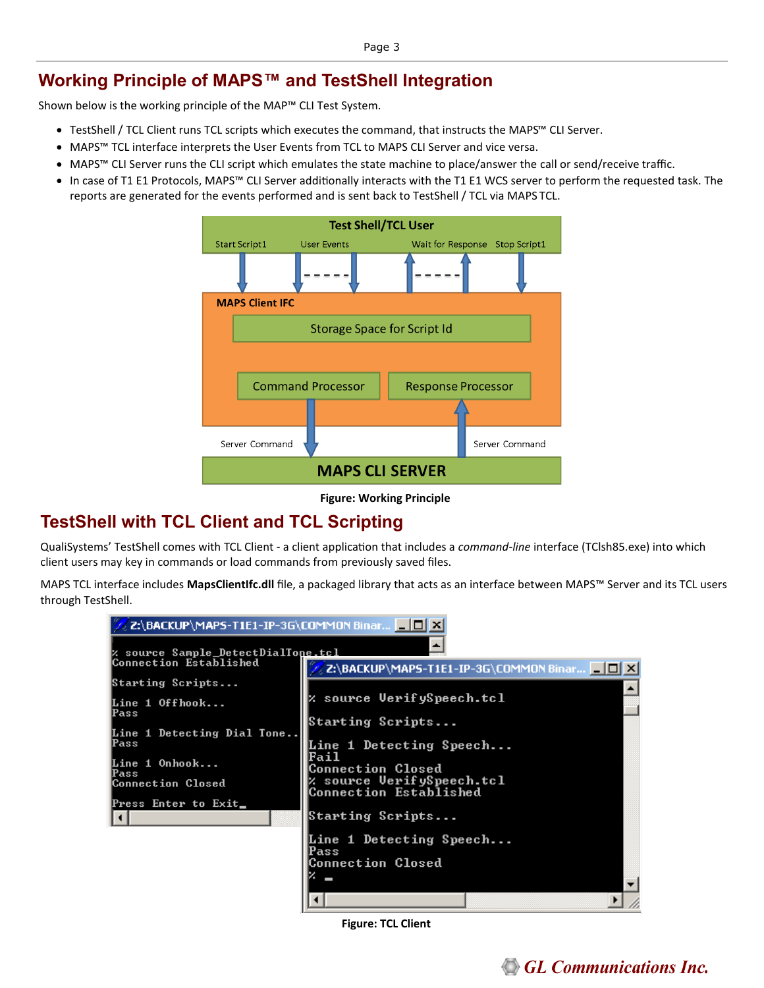## **Working Principle of MAPS™ and TestShell Integration**

Shown below is the working principle of the MAP™ CLI Test System.

- TestShell / TCL Client runs TCL scripts which executes the command, that instructs the MAPS™ CLI Server.
- MAPS™ TCL interface interprets the User Events from TCL to MAPS CLI Server and vice versa.
- MAPS™ CLI Server runs the CLI script which emulates the state machine to place/answer the call or send/receive traffic.
- In case of T1 E1 Protocols, MAPS™ CLI Server additionally interacts with the T1 E1 WCS server to perform the requested task. The reports are generated for the events performed and is sent back to TestShell / TCL via MAPS TCL.



**Figure: Working Principle**

## **TestShell with TCL Client and TCL Scripting**

QualiSystems' TestShell comes with TCL Client - a client application that includes a *command-line* interface (TClsh85.exe) into which client users may key in commands or load commands from previously saved files.

MAPS TCL interface includes **MapsClientIfc.dll** file, a packaged library that acts as an interface between MAPS™ Server and its TCL users through TestShell.



**Figure: TCL Client**

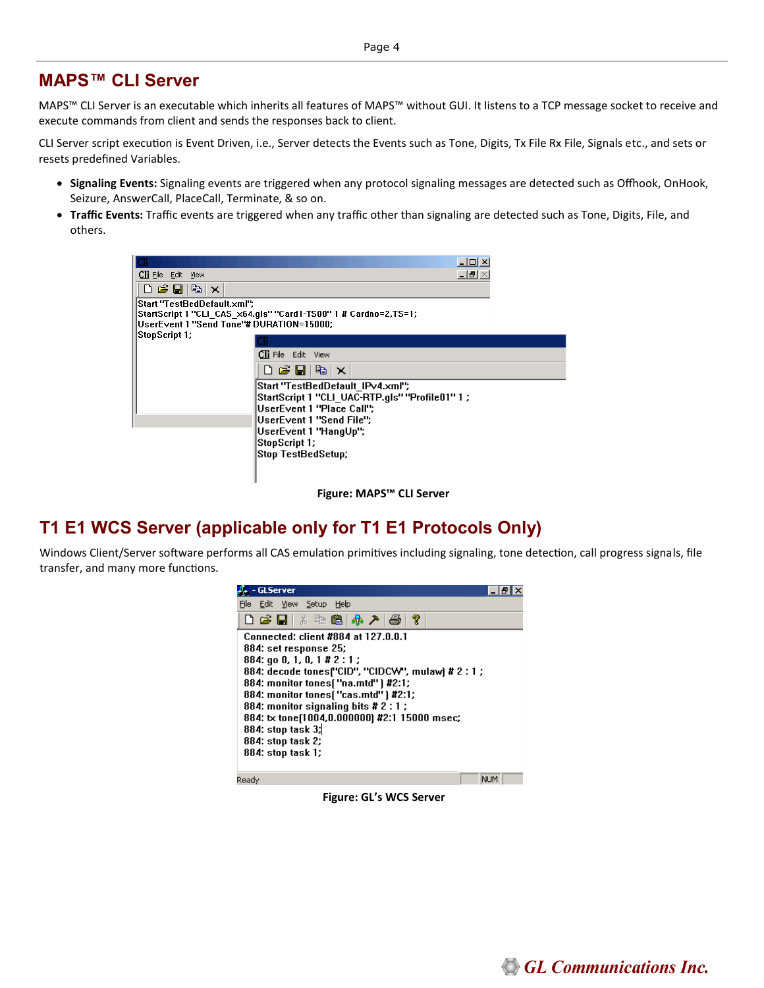#### **MAPS™ CLI Server**

MAPS™ CLI Server is an executable which inherits all features of MAPS™ without GUI. It listens to a TCP message socket to receive and execute commands from client and sends the responses back to client.

CLI Server script execution is Event Driven, i.e., Server detects the Events such as Tone, Digits, Tx File Rx File, Signals etc., and sets or resets predefined Variables.

- **Signaling Events:** Signaling events are triggered when any protocol signaling messages are detected such as Offhook, OnHook, Seizure, AnswerCall, PlaceCall, Terminate, & so on.
- **Traffic Events:** Traffic events are triggered when any traffic other than signaling are detected such as Tone, Digits, File, and others.

|                                                          | $ \Box$ $\times$                                                |
|----------------------------------------------------------|-----------------------------------------------------------------|
| <b>CII</b> File Edit View                                | $   \times$                                                     |
| $D$ $\mathcal{B}$ $\mathbf{E}$ $\mathbf{E}$ $\mathbf{x}$ |                                                                 |
| Start "TestBedDefault.xml";                              |                                                                 |
|                                                          | StartScript 1 "CLI_CAS_x64.gls" "Card1-TS00" 1 # Cardno=2,TS=1; |
| UserEvent 1 "Send Tone"# DURATION=15000;                 |                                                                 |
| StopScript 1;                                            |                                                                 |
|                                                          | <b>CTi</b> File Edit View                                       |
|                                                          | $D$ $\mathcal{B}$ $\mathbf{E}$ b $\times$                       |
|                                                          | Start "TestBedDefault_IPv4.xml";                                |
|                                                          | StartScript 1 "CLI UAC-RTP.gls" "Profile01" 1 ;                 |
|                                                          | UserEvent 1 "Place Call";                                       |
|                                                          | UserEvent 1 "Send File";                                        |
|                                                          | UserEvent 1 "HangUp";                                           |
|                                                          | StopScript 1;                                                   |
|                                                          | Stop TestBedSetup;                                              |
|                                                          |                                                                 |
|                                                          |                                                                 |
|                                                          |                                                                 |

**Figure: MAPS™ CLI Server**

#### **T1 E1 WCS Server (applicable only for T1 E1 Protocols Only)**

Windows Client/Server software performs all CAS emulation primitives including signaling, tone detection, call progress signals, file transfer, and many more functions.

| <b>GLServer</b>                                                                                                                                                                                                                                                                                                                                                                           |  |
|-------------------------------------------------------------------------------------------------------------------------------------------------------------------------------------------------------------------------------------------------------------------------------------------------------------------------------------------------------------------------------------------|--|
| File Edit View Setup<br>Help                                                                                                                                                                                                                                                                                                                                                              |  |
| 0 2 - 1 2 4 6 6 4 7 2 3 7                                                                                                                                                                                                                                                                                                                                                                 |  |
| Connected: client #884 at 127.0.0.1<br>884: set response 25;<br>884: go 0, 1, 0, 1 # 2 : 1 ;<br>884: decode tones("CID", "CIDCW", mulaw) # 2 : 1 ;<br>884: monitor tones( "na.mtd" ) #2:1;<br>884: monitor tones("cas.mtd") #2:1;<br>884: monitor signaling bits # 2 : 1 ;<br>884: tx tone(1004,0.000000) #2:1 15000 msec;<br>884: stop task 3;<br>884: stop task 2;<br>884: stop task 1; |  |
| NLIM.<br>Readv                                                                                                                                                                                                                                                                                                                                                                            |  |

**Figure: GL's WCS Server**

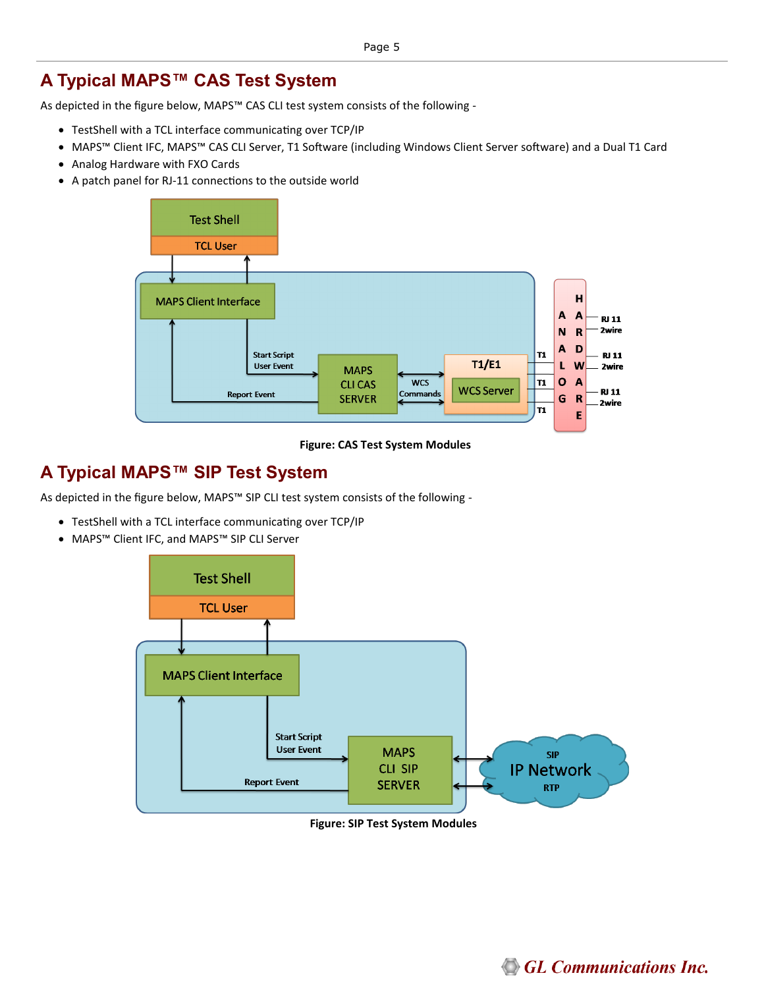### **A Typical MAPS™ CAS Test System**

As depicted in the figure below, MAPS™ CAS CLI test system consists of the following -

- TestShell with a TCL interface communicating over TCP/IP
- MAPS™ Client IFC, MAPS™ CAS CLI Server, T1 Software (including Windows Client Server software) and a Dual T1 Card
- Analog Hardware with FXO Cards
- A patch panel for RJ-11 connections to the outside world



**Figure: CAS Test System Modules**

#### **A Typical MAPS™ SIP Test System**

As depicted in the figure below, MAPS™ SIP CLI test system consists of the following -

- TestShell with a TCL interface communicating over TCP/IP
- MAPS™ Client IFC, and MAPS™ SIP CLI Server



**Figure: SIP Test System Modules**

**GL Communications Inc.**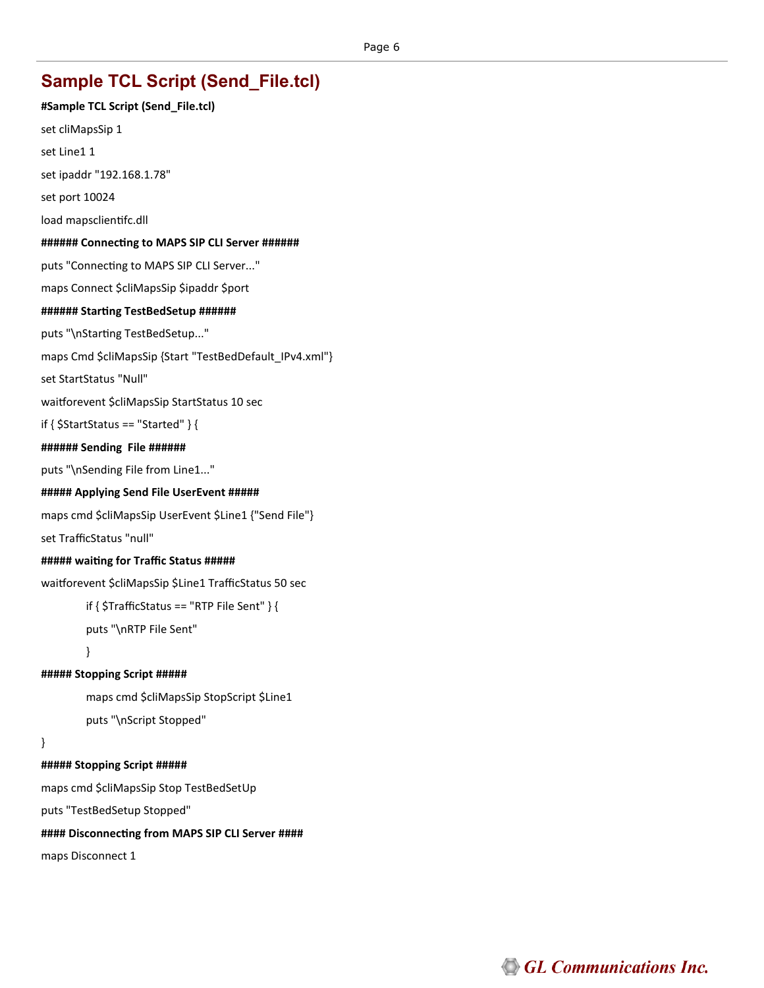## **Sample TCL Script (Send\_File.tcl)**

**#Sample TCL Script (Send\_File.tcl)** set cliMapsSip 1 set Line1 1 set ipaddr "192.168.1.78" set port 10024 load mapsclientifc.dll **###### Connecting to MAPS SIP CLI Server ######** puts "Connecting to MAPS SIP CLI Server..." maps Connect \$cliMapsSip \$ipaddr \$port **###### Starting TestBedSetup ######** puts "\nStarting TestBedSetup..." maps Cmd \$cliMapsSip {Start "TestBedDefault\_IPv4.xml"} set StartStatus "Null" waitforevent \$cliMapsSip StartStatus 10 sec if {  $$StartStatus == "Started"$  } { **###### Sending File ######**  puts "\nSending File from Line1..." **##### Applying Send File UserEvent #####** maps cmd \$cliMapsSip UserEvent \$Line1 {"Send File"} set TrafficStatus "null" **##### waiting for Traffic Status #####** waitforevent \$cliMapsSip \$Line1 TrafficStatus 50 sec if { \$TrafficStatus == "RTP File Sent" } { puts "\nRTP File Sent" } **##### Stopping Script #####** maps cmd \$cliMapsSip StopScript \$Line1 puts "\nScript Stopped" } **##### Stopping Script #####** maps cmd \$cliMapsSip Stop TestBedSetUp puts "TestBedSetup Stopped" **#### Disconnecting from MAPS SIP CLI Server ####** maps Disconnect 1